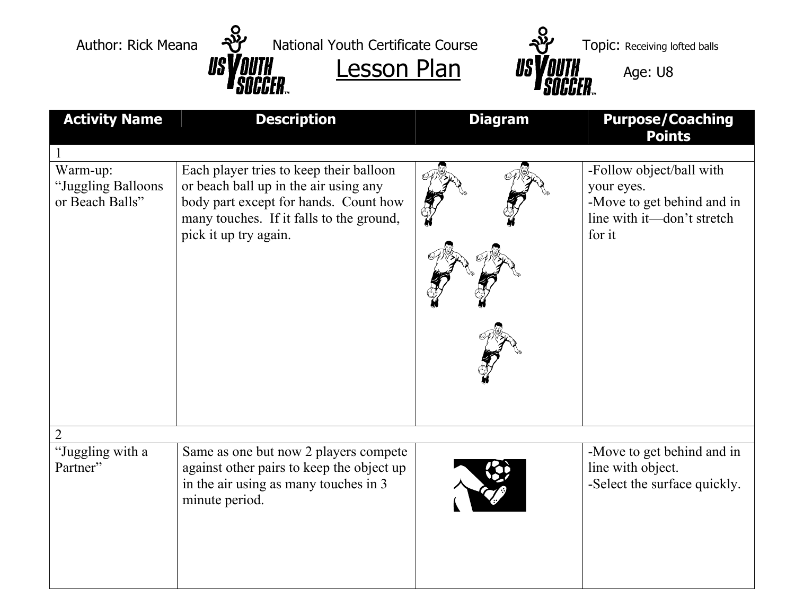



| <b>Activity Name</b>                              | <b>Description</b>                                                                                                                                                                             | <b>Diagram</b> | <b>Purpose/Coaching</b><br><b>Points</b>                                                                     |
|---------------------------------------------------|------------------------------------------------------------------------------------------------------------------------------------------------------------------------------------------------|----------------|--------------------------------------------------------------------------------------------------------------|
|                                                   |                                                                                                                                                                                                |                |                                                                                                              |
| Warm-up:<br>"Juggling Balloons<br>or Beach Balls" | Each player tries to keep their balloon<br>or beach ball up in the air using any<br>body part except for hands. Count how<br>many touches. If it falls to the ground,<br>pick it up try again. |                | -Follow object/ball with<br>your eyes.<br>-Move to get behind and in<br>line with it—don't stretch<br>for it |
|                                                   |                                                                                                                                                                                                |                |                                                                                                              |
| "Juggling with a<br>Partner"                      | Same as one but now 2 players compete<br>against other pairs to keep the object up<br>in the air using as many touches in 3<br>minute period.                                                  |                | -Move to get behind and in<br>line with object.<br>-Select the surface quickly.                              |